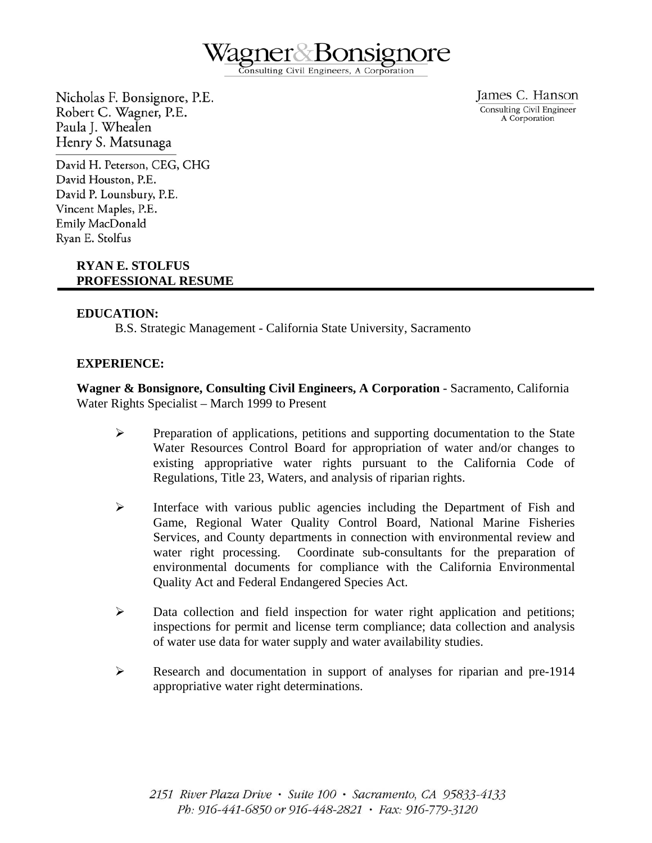

onsulting Civil Engineers, A Corporation

Nicholas F. Bonsignore, P.E. Robert C. Wagner, P.E. Paula J. Whealen Henry S. Matsunaga

James C. Hanson Consulting Civil Engineer A Corporation

David H. Peterson, CEG, CHG David Houston, P.E. David P. Lounsbury, P.E. Vincent Maples, P.E. Emily MacDonald Ryan E. Stolfus

# **RYAN E. STOLFUS PROFESSIONAL RESUME**

# **EDUCATION:**

B.S. Strategic Management - California State University, Sacramento

# **EXPERIENCE:**

**Wagner & Bonsignore, Consulting Civil Engineers, A Corporation** - Sacramento, California Water Rights Specialist – March 1999 to Present

- ¾ Preparation of applications, petitions and supporting documentation to the State Water Resources Control Board for appropriation of water and/or changes to existing appropriative water rights pursuant to the California Code of Regulations, Title 23, Waters, and analysis of riparian rights.
- ¾ Interface with various public agencies including the Department of Fish and Game, Regional Water Quality Control Board, National Marine Fisheries Services, and County departments in connection with environmental review and water right processing. Coordinate sub-consultants for the preparation of environmental documents for compliance with the California Environmental Quality Act and Federal Endangered Species Act.
- $\triangleright$  Data collection and field inspection for water right application and petitions; inspections for permit and license term compliance; data collection and analysis of water use data for water supply and water availability studies.
- ¾ Research and documentation in support of analyses for riparian and pre-1914 appropriative water right determinations.